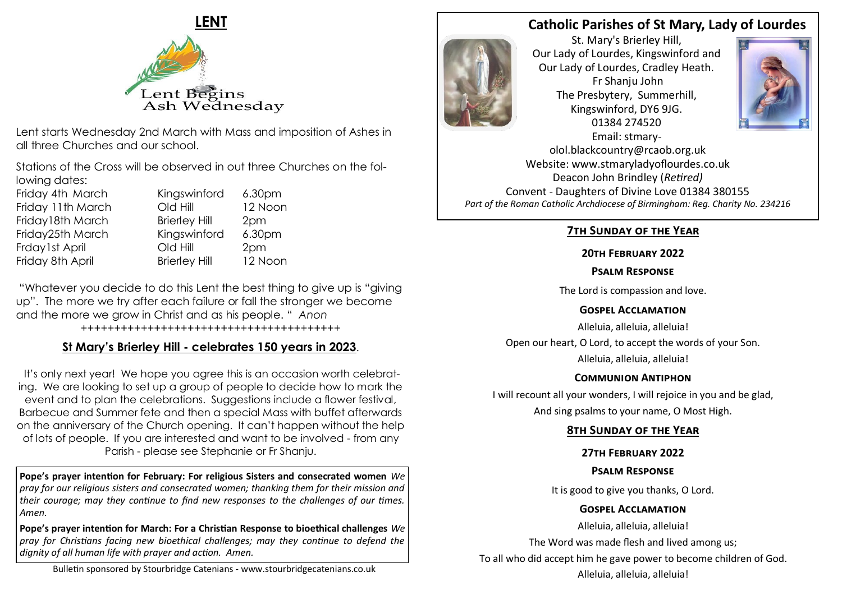

Lent starts Wednesday 2nd March with Mass and imposition of Ashes in all three Churches and our school.

Stations of the Cross will be observed in out three Churches on the following dates:

Friday 4th March Kingswinford 6.30pm Friday 11th March Cld Hill 12 Noon Friday18th March Brierley Hill 2pm Friday25th March Kingswinford 6.30pm Frday1st April Old Hill 2pm Friday 8th April Brierley Hill 12 Noon

"Whatever you decide to do this Lent the best thing to give up is "giving up". The more we try after each failure or fall the stronger we become and the more we grow in Christ and as his people. " *Anon*

#### *+++++++++++++++++++++++++++++++++++++++*

# **St Mary's Brierley Hill - celebrates 150 years in 2023**.

It's only next year! We hope you agree this is an occasion worth celebrating. We are looking to set up a group of people to decide how to mark the event and to plan the celebrations. Suggestions include a flower festival, Barbecue and Summer fete and then a special Mass with buffet afterwards on the anniversary of the Church opening. It can't happen without the help of lots of people. If you are interested and want to be involved - from any Parish - please see Stephanie or Fr Shanju.

**Pope's prayer intention for February: For religious Sisters and consecrated women** *We pray for our religious sisters and consecrated women; thanking them for their mission and their courage; may they continue to find new responses to the challenges of our times. Amen.*

**Pope's prayer intention for March: For a Christian Response to bioethical challenges** *We pray for Christians facing new bioethical challenges; may they continue to defend the dignity of all human life with prayer and action. Amen.*

# **Catholic Parishes of St Mary, Lady of Lourdes**



St. Mary's Brierley Hill, Our Lady of Lourdes, Kingswinford and Our Lady of Lourdes, Cradley Heath. Fr Shanju John The Presbytery, Summerhill, Kingswinford, DY6 9JG. 01384 274520 Email: stmary-



olol.blackcountry@rcaob.org.uk Website: www.stmaryladyoflourdes.co.uk Deacon John Brindley (*Retired)* Convent - Daughters of Divine Love 01384 380155 *Part of the Roman Catholic Archdiocese of Birmingham: Reg. Charity No. 234216*

### **7th Sunday of the Year**

### **20th February 2022**

#### **Psalm Response**

The Lord is compassion and love.

### **Gospel Acclamation**

Alleluia, alleluia, alleluia! Open our heart, O Lord, to accept the words of your Son. Alleluia, alleluia, alleluia!

### **Communion Antiphon**

I will recount all your wonders, I will rejoice in you and be glad, And sing psalms to your name, O Most High.

# **8th Sunday of the Year**

# **27th February 2022**

# **Psalm Response**

It is good to give you thanks, O Lord.

# **Gospel Acclamation**

Alleluia, alleluia, alleluia!

The Word was made flesh and lived among us;

To all who did accept him he gave power to become children of God.

Alleluia, alleluia, alleluia!